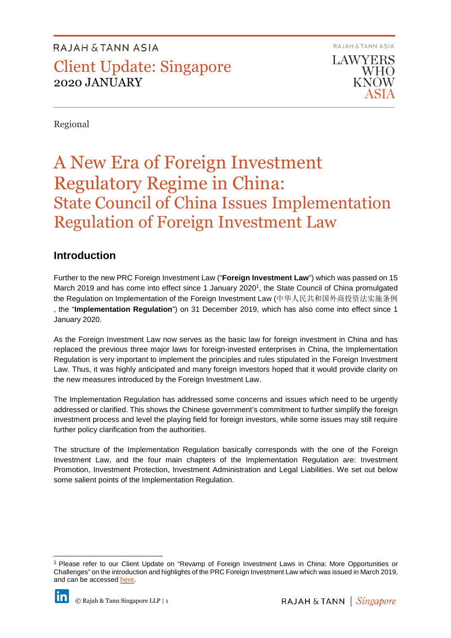RAJAH & TANN ASIA LAWYERS WHO KNOW

Regional

# A New Era of Foreign Investment Regulatory Regime in China: State Council of China Issues Implementation Regulation of Foreign Investment Law

### **Introduction**

Further to the new PRC Foreign Investment Law ("**Foreign Investment Law**") which was passed on 15 March 2019 and has come into effect since 1 January 2020<sup>1</sup>, the State Council of China promulgated the Regulation on Implementation of the Foreign Investment Law (中华人民共和国外商投资法实施条例 , the "**Implementation Regulation**") on 31 December 2019, which has also come into effect since 1 January 2020.

As the Foreign Investment Law now serves as the basic law for foreign investment in China and has replaced the previous three major laws for foreign-invested enterprises in China, the Implementation Regulation is very important to implement the principles and rules stipulated in the Foreign Investment Law. Thus, it was highly anticipated and many foreign investors hoped that it would provide clarity on the new measures introduced by the Foreign Investment Law.

The Implementation Regulation has addressed some concerns and issues which need to be urgently addressed or clarified. This shows the Chinese government's commitment to further simplify the foreign investment process and level the playing field for foreign investors, while some issues may still require further policy clarification from the authorities.

The structure of the Implementation Regulation basically corresponds with the one of the Foreign Investment Law, and the four main chapters of the Implementation Regulation are: Investment Promotion, Investment Protection, Investment Administration and Legal Liabilities. We set out below some salient points of the Implementation Regulation.

<sup>1</sup> Please refer to our Client Update on "Revamp of Foreign Investment Laws in China: More Opportunities or Challenges" on the introduction and highlights of the PRC Foreign Investment Law which was issued in March 2019, and can be accesse[d here.](https://eoasis.rajahtann.com/eoasis/gn/at.asp?pdf=../lu/pdf/2019-13-Revamp_of_Foreign_Investment_Laws_in_China.pdf&module=LU&topic=LU001274&sec=b)



j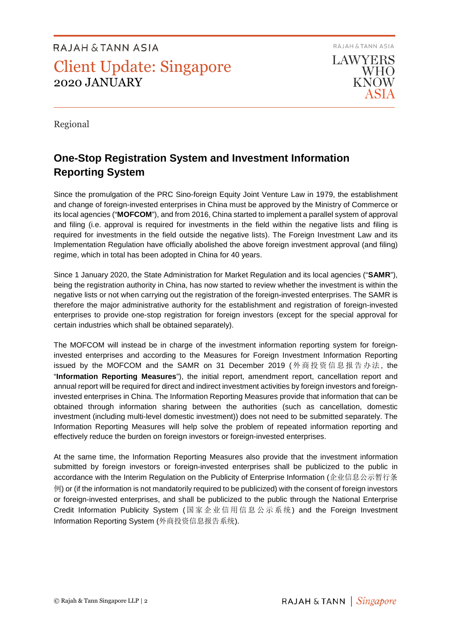RAJAH & TANN ASIA LAWYERS **WHO KNOW** 

Regional

### **One-Stop Registration System and Investment Information Reporting System**

Since the promulgation of the PRC Sino-foreign Equity Joint Venture Law in 1979, the establishment and change of foreign-invested enterprises in China must be approved by the Ministry of Commerce or its local agencies ("**MOFCOM**"), and from 2016, China started to implement a parallel system of approval and filing (i.e. approval is required for investments in the field within the negative lists and filing is required for investments in the field outside the negative lists). The Foreign Investment Law and its Implementation Regulation have officially abolished the above foreign investment approval (and filing) regime, which in total has been adopted in China for 40 years.

Since 1 January 2020, the State Administration for Market Regulation and its local agencies ("**SAMR**"), being the registration authority in China, has now started to review whether the investment is within the negative lists or not when carrying out the registration of the foreign-invested enterprises. The SAMR is therefore the major administrative authority for the establishment and registration of foreign-invested enterprises to provide one-stop registration for foreign investors (except for the special approval for certain industries which shall be obtained separately).

The MOFCOM will instead be in charge of the investment information reporting system for foreigninvested enterprises and according to the Measures for Foreign Investment Information Reporting issued by the MOFCOM and the SAMR on 31 December 2019 (外商投资信息报告办法, the "**Information Reporting Measures**"), the initial report, amendment report, cancellation report and annual report will be required for direct and indirect investment activities by foreign investors and foreigninvested enterprises in China. The Information Reporting Measures provide that information that can be obtained through information sharing between the authorities (such as cancellation, domestic investment (including multi-level domestic investment)) does not need to be submitted separately. The Information Reporting Measures will help solve the problem of repeated information reporting and effectively reduce the burden on foreign investors or foreign-invested enterprises.

At the same time, the Information Reporting Measures also provide that the investment information submitted by foreign investors or foreign-invested enterprises shall be publicized to the public in accordance with the Interim Regulation on the Publicity of Enterprise Information (企业信息公示暂行条 例) or (if the information is not mandatorily required to be publicized) with the consent of foreign investors or foreign-invested enterprises, and shall be publicized to the public through the National Enterprise Credit Information Publicity System (国家企 业 信 用信 息 公 示系 统) and the Foreign Investment Information Reporting System (外商投资信息报告系统).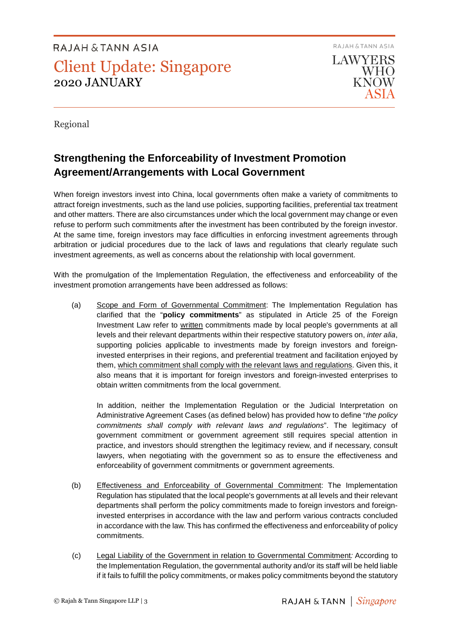RAJAH & TANN ASIA **LAWYERS** WHO **KNOW** 

Regional

### **Strengthening the Enforceability of Investment Promotion Agreement/Arrangements with Local Government**

When foreign investors invest into China, local governments often make a variety of commitments to attract foreign investments, such as the land use policies, supporting facilities, preferential tax treatment and other matters. There are also circumstances under which the local government may change or even refuse to perform such commitments after the investment has been contributed by the foreign investor. At the same time, foreign investors may face difficulties in enforcing investment agreements through arbitration or judicial procedures due to the lack of laws and regulations that clearly regulate such investment agreements, as well as concerns about the relationship with local government.

With the promulgation of the Implementation Regulation, the effectiveness and enforceability of the investment promotion arrangements have been addressed as follows:

(a) Scope and Form of Governmental Commitment: The Implementation Regulation has clarified that the "**policy commitments**" as stipulated in Article 25 of the Foreign Investment Law refer to written commitments made by local people's governments at all levels and their relevant departments within their respective statutory powers on, *inter alia*, supporting policies applicable to investments made by foreign investors and foreigninvested enterprises in their regions, and preferential treatment and facilitation enjoyed by them, which commitment shall comply with the relevant laws and regulations. Given this, it also means that it is important for foreign investors and foreign-invested enterprises to obtain written commitments from the local government.

In addition, neither the Implementation Regulation or the Judicial Interpretation on Administrative Agreement Cases (as defined below) has provided how to define "*the policy commitments shall comply with relevant laws and regulations*". The legitimacy of government commitment or government agreement still requires special attention in practice, and investors should strengthen the legitimacy review, and if necessary, consult lawyers, when negotiating with the government so as to ensure the effectiveness and enforceability of government commitments or government agreements.

- (b) Effectiveness and Enforceability of Governmental Commitment: The Implementation Regulation has stipulated that the local people's governments at all levels and their relevant departments shall perform the policy commitments made to foreign investors and foreigninvested enterprises in accordance with the law and perform various contracts concluded in accordance with the law. This has confirmed the effectiveness and enforceability of policy commitments.
- (c) Legal Liability of the Government in relation to Governmental Commitment*:* According to the Implementation Regulation, the governmental authority and/or its staff will be held liable if it fails to fulfill the policy commitments, or makes policy commitments beyond the statutory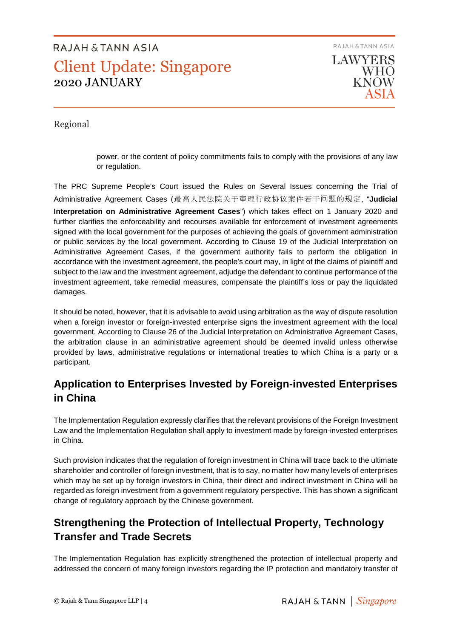RAJAH & TANN ASIA LAWYERS

> **WHO KNOW**

Regional

power, or the content of policy commitments fails to comply with the provisions of any law or regulation.

The PRC Supreme People's Court issued the Rules on Several Issues concerning the Trial of Administrative Agreement Cases (最高人民法院关于审理行政协议案件若干问题的规定, "**Judicial Interpretation on Administrative Agreement Cases**") which takes effect on 1 January 2020 and further clarifies the enforceability and recourses available for enforcement of investment agreements signed with the local government for the purposes of achieving the goals of government administration or public services by the local government. According to Clause 19 of the Judicial Interpretation on Administrative Agreement Cases, if the government authority fails to perform the obligation in accordance with the investment agreement, the people's court may, in light of the claims of plaintiff and subject to the law and the investment agreement, adjudge the defendant to continue performance of the investment agreement, take remedial measures, compensate the plaintiff's loss or pay the liquidated damages.

It should be noted, however, that it is advisable to avoid using arbitration as the way of dispute resolution when a foreign investor or foreign-invested enterprise signs the investment agreement with the local government. According to Clause 26 of the Judicial Interpretation on Administrative Agreement Cases, the arbitration clause in an administrative agreement should be deemed invalid unless otherwise provided by laws, administrative regulations or international treaties to which China is a party or a participant.

### **Application to Enterprises Invested by Foreign-invested Enterprises in China**

The Implementation Regulation expressly clarifies that the relevant provisions of the Foreign Investment Law and the Implementation Regulation shall apply to investment made by foreign-invested enterprises in China.

Such provision indicates that the regulation of foreign investment in China will trace back to the ultimate shareholder and controller of foreign investment, that is to say, no matter how many levels of enterprises which may be set up by foreign investors in China, their direct and indirect investment in China will be regarded as foreign investment from a government regulatory perspective. This has shown a significant change of regulatory approach by the Chinese government.

### **Strengthening the Protection of Intellectual Property, Technology Transfer and Trade Secrets**

The Implementation Regulation has explicitly strengthened the protection of intellectual property and addressed the concern of many foreign investors regarding the IP protection and mandatory transfer of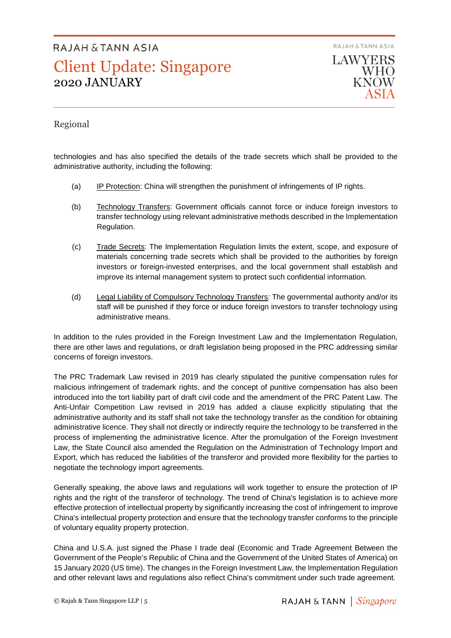RAJAH & TANN ASIA **LAWYERS** 

WHO **KNOW** 

#### Regional

technologies and has also specified the details of the trade secrets which shall be provided to the administrative authority, including the following:

- (a) IP Protection: China will strengthen the punishment of infringements of IP rights.
- (b) Technology Transfers: Government officials cannot force or induce foreign investors to transfer technology using relevant administrative methods described in the Implementation Regulation.
- (c) Trade Secrets: The Implementation Regulation limits the extent, scope, and exposure of materials concerning trade secrets which shall be provided to the authorities by foreign investors or foreign-invested enterprises, and the local government shall establish and improve its internal management system to protect such confidential information.
- (d) Legal Liability of Compulsory Technology Transfers*:* The governmental authority and/or its staff will be punished if they force or induce foreign investors to transfer technology using administrative means.

In addition to the rules provided in the Foreign Investment Law and the Implementation Regulation, there are other laws and regulations, or draft legislation being proposed in the PRC addressing similar concerns of foreign investors.

The PRC Trademark Law revised in 2019 has clearly stipulated the punitive compensation rules for malicious infringement of trademark rights, and the concept of punitive compensation has also been introduced into the tort liability part of draft civil code and the amendment of the PRC Patent Law. The Anti-Unfair Competition Law revised in 2019 has added a clause explicitly stipulating that the administrative authority and its staff shall not take the technology transfer as the condition for obtaining administrative licence. They shall not directly or indirectly require the technology to be transferred in the process of implementing the administrative licence. After the promulgation of the Foreign Investment Law, the State Council also amended the Regulation on the Administration of Technology Import and Export, which has reduced the liabilities of the transferor and provided more flexibility for the parties to negotiate the technology import agreements.

Generally speaking, the above laws and regulations will work together to ensure the protection of IP rights and the right of the transferor of technology. The trend of China's legislation is to achieve more effective protection of intellectual property by significantly increasing the cost of infringement to improve China's intellectual property protection and ensure that the technology transfer conforms to the principle of voluntary equality property protection.

China and U.S.A. just signed the Phase I trade deal (Economic and Trade Agreement Between the Government of the People's Republic of China and the Government of the United States of America) on 15 January 2020 (US time). The changes in the Foreign Investment Law, the Implementation Regulation and other relevant laws and regulations also reflect China's commitment under such trade agreement.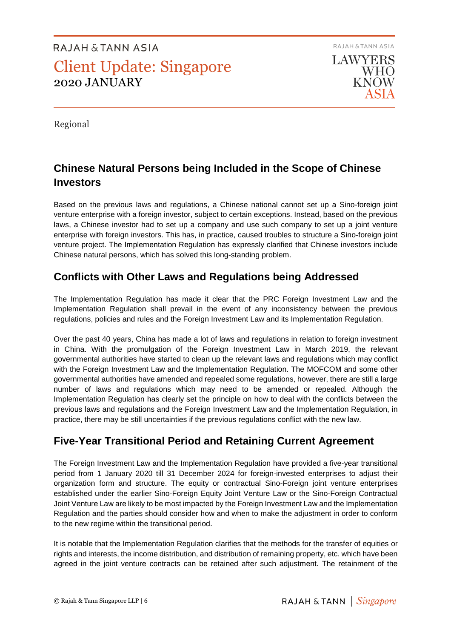RAJAH & TANN ASIA **LAWYERS** WHO **KNOW** 

Regional

### **Chinese Natural Persons being Included in the Scope of Chinese Investors**

Based on the previous laws and regulations, a Chinese national cannot set up a Sino-foreign joint venture enterprise with a foreign investor, subject to certain exceptions. Instead, based on the previous laws, a Chinese investor had to set up a company and use such company to set up a joint venture enterprise with foreign investors. This has, in practice, caused troubles to structure a Sino-foreign joint venture project. The Implementation Regulation has expressly clarified that Chinese investors include Chinese natural persons, which has solved this long-standing problem.

### **Conflicts with Other Laws and Regulations being Addressed**

The Implementation Regulation has made it clear that the PRC Foreign Investment Law and the Implementation Regulation shall prevail in the event of any inconsistency between the previous regulations, policies and rules and the Foreign Investment Law and its Implementation Regulation.

Over the past 40 years, China has made a lot of laws and regulations in relation to foreign investment in China. With the promulgation of the Foreign Investment Law in March 2019, the relevant governmental authorities have started to clean up the relevant laws and regulations which may conflict with the Foreign Investment Law and the Implementation Regulation. The MOFCOM and some other governmental authorities have amended and repealed some regulations, however, there are still a large number of laws and regulations which may need to be amended or repealed. Although the Implementation Regulation has clearly set the principle on how to deal with the conflicts between the previous laws and regulations and the Foreign Investment Law and the Implementation Regulation, in practice, there may be still uncertainties if the previous regulations conflict with the new law.

### **Five-Year Transitional Period and Retaining Current Agreement**

The Foreign Investment Law and the Implementation Regulation have provided a five-year transitional period from 1 January 2020 till 31 December 2024 for foreign-invested enterprises to adjust their organization form and structure. The equity or contractual Sino-Foreign joint venture enterprises established under the earlier Sino-Foreign Equity Joint Venture Law or the Sino-Foreign Contractual Joint Venture Law are likely to be most impacted by the Foreign Investment Law and the Implementation Regulation and the parties should consider how and when to make the adjustment in order to conform to the new regime within the transitional period.

It is notable that the Implementation Regulation clarifies that the methods for the transfer of equities or rights and interests, the income distribution, and distribution of remaining property, etc. which have been agreed in the joint venture contracts can be retained after such adjustment. The retainment of the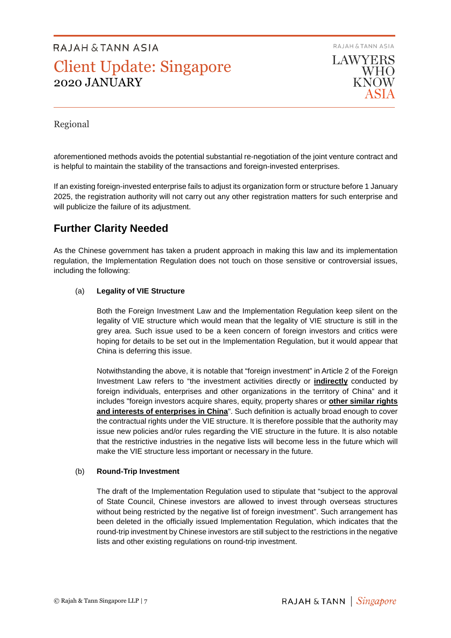RAJAH & TANN ASIA **LAWYERS WHO** 

**KNOW** 

Regional

aforementioned methods avoids the potential substantial re-negotiation of the joint venture contract and is helpful to maintain the stability of the transactions and foreign-invested enterprises.

If an existing foreign-invested enterprise fails to adjust its organization form or structure before 1 January 2025, the registration authority will not carry out any other registration matters for such enterprise and will publicize the failure of its adjustment.

### **Further Clarity Needed**

As the Chinese government has taken a prudent approach in making this law and its implementation regulation, the Implementation Regulation does not touch on those sensitive or controversial issues, including the following:

#### (a) **Legality of VIE Structure**

Both the Foreign Investment Law and the Implementation Regulation keep silent on the legality of VIE structure which would mean that the legality of VIE structure is still in the grey area. Such issue used to be a keen concern of foreign investors and critics were hoping for details to be set out in the Implementation Regulation, but it would appear that China is deferring this issue.

Notwithstanding the above, it is notable that "foreign investment" in Article 2 of the Foreign Investment Law refers to "the investment activities directly or **indirectly** conducted by foreign individuals, enterprises and other organizations in the territory of China" and it includes "foreign investors acquire shares, equity, property shares or **other similar rights and interests of enterprises in China**". Such definition is actually broad enough to cover the contractual rights under the VIE structure. It is therefore possible that the authority may issue new policies and/or rules regarding the VIE structure in the future. It is also notable that the restrictive industries in the negative lists will become less in the future which will make the VIE structure less important or necessary in the future.

#### (b) **Round-Trip Investment**

The draft of the Implementation Regulation used to stipulate that "subject to the approval of State Council, Chinese investors are allowed to invest through overseas structures without being restricted by the negative list of foreign investment". Such arrangement has been deleted in the officially issued Implementation Regulation, which indicates that the round-trip investment by Chinese investors are still subject to the restrictions in the negative lists and other existing regulations on round-trip investment.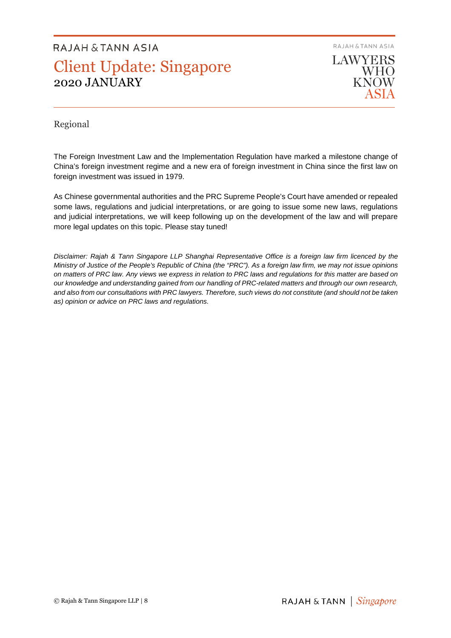RAJAH & TANN ASIA **LAWYERS WHO** 

KNOW

#### Regional

The Foreign Investment Law and the Implementation Regulation have marked a milestone change of China's foreign investment regime and a new era of foreign investment in China since the first law on foreign investment was issued in 1979.

As Chinese governmental authorities and the PRC Supreme People's Court have amended or repealed some laws, regulations and judicial interpretations, or are going to issue some new laws, regulations and judicial interpretations, we will keep following up on the development of the law and will prepare more legal updates on this topic. Please stay tuned!

*Disclaimer: Rajah & Tann Singapore LLP Shanghai Representative Office is a foreign law firm licenced by the Ministry of Justice of the People's Republic of China (the "PRC"). As a foreign law firm, we may not issue opinions on matters of PRC law. Any views we express in relation to PRC laws and regulations for this matter are based on our knowledge and understanding gained from our handling of PRC-related matters and through our own research, and also from our consultations with PRC lawyers. Therefore, such views do not constitute (and should not be taken as) opinion or advice on PRC laws and regulations.*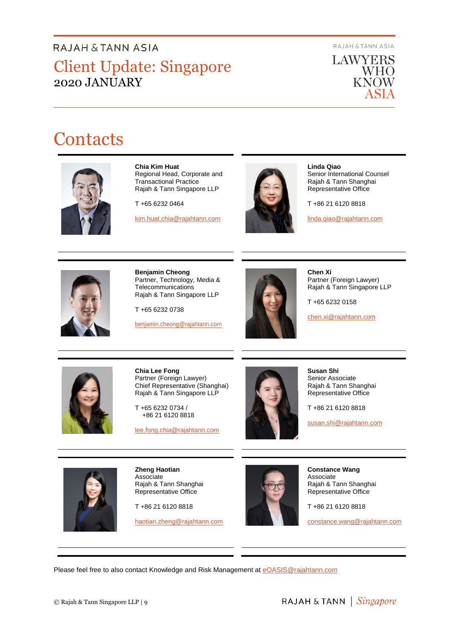RAJAH & TANN ASIA



# **Contacts**



**Chia Kim Huat**  Regional Head, Corporate and Transactional Practice Rajah & Tann Singapore LLP

T +65 6232 0464

[kim.huat.chia@rajahtann.com](mailto:kim.huat.chia@rajahtann.com)



**Linda Qiao**  Senior International Counsel Rajah & Tann Shanghai Representative Office

T +86 21 6120 8818

[linda.qiao@rajahtann.com](mailto:linda.qiao@rajahtann.com)



**Benjamin Cheong**  Partner, Technology, Media & Telecommunications Rajah & Tann Singapore LLP

T +65 6232 0738

[benjamin.cheong@rajahtann.com](mailto:benjamin.cheong@rajahtann.com)



**Chen Xi**  Partner (Foreign Lawyer) Rajah & Tann Singapore LLP

T +65 6232 0158

[chen.xi@rajahtann.com](mailto:chen.xi@rajahtann.com)



**Chia Lee Fong**  Partner (Foreign Lawyer) Chief Representative (Shanghai) Rajah & Tann Singapore LLP

T +65 6232 0734 / +86 21 6120 8818

[lee.fong.chia@rajahtann.com](mailto:lee.fong.chia@rajahtann.com)



**Susan Shi**  Senior Associate Rajah & Tann Shanghai Representative Office

T +86 21 6120 8818

[susan.shi@rajahtann.com](mailto:susan.shi@rajahtann.com)



**Zheng Haotian**  Associate Rajah & Tann Shanghai Representative Office

T +86 21 6120 8818

[haotian.zheng@rajahtann.com](mailto:haotian.zheng@rajahtann.com)



**Constance Wang**  Associate Rajah & Tann Shanghai Representative Office

T +86 21 6120 8818

constance.wan[g@rajahtann.com](mailto:lee.fong.chia@rajahtann.com)

Please feel free to also contact Knowledge and Risk Management at [eOASIS@rajahtann.com](mailto:eOASIS@rajahtann.com)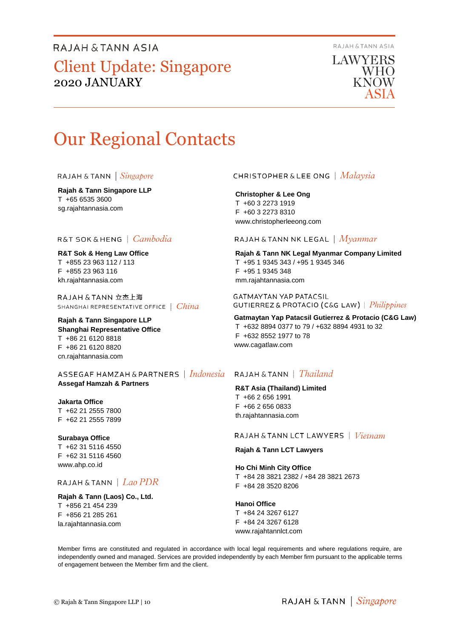RAJAH & TANN ASIA

LAWYERS WHO **KNOW** 

# Our Regional Contacts

**Rajah & Tann Singapore LLP**  T +65 6535 3600 sg.rajahtannasia.com

#### R&T SOK&HENG | Cambodia

**R&T Sok & Heng Law Office**  T +855 23 963 112 / 113 F +855 23 963 116 kh.rajahtannasia.com

RAJAH & TANN 立杰上海 SHANGHAI REPRESENTATIVE OFFICE | China

**Rajah & Tann Singapore LLP Shanghai Representative Office**  T +86 21 6120 8818 F +86 21 6120 8820 cn.rajahtannasia.com

ASSEGAF HAMZAH&PARTNERS | Indonesia **Assegaf Hamzah & Partners** 

#### **Jakarta Office**  T +62 21 2555 7800

F +62 21 2555 7899

**Surabaya Office**  T +62 31 5116 4550 F +62 31 5116 4560 www.ahp.co.id

#### RAJAH & TANN  $|$  Lao PDR

**Rajah & Tann (Laos) Co., Ltd.**  T +856 21 454 239 F +856 21 285 261 la.rajahtannasia.com

#### **CHRISTOPHER & LEE ONG** | Malaysia

**Christopher & Lee Ong**  T +60 3 2273 1919 F +60 3 2273 8310 www.christopherleeong.com

#### RAJAH & TANN NK LEGAL  $\mid$   $Mya n mar$

**Rajah & Tann NK Legal Myanmar Company Limited**  T +95 1 9345 343 / +95 1 9345 346 F +95 1 9345 348 mm.rajahtannasia.com

**GATMAYTAN YAP PATACSIL GUTIERREZ & PROTACIO (C&G LAW)** | *Philippines* 

**Gatmaytan Yap Patacsil Gutierrez & Protacio (C&G Law)**  T +632 8894 0377 to 79 / +632 8894 4931 to 32 F +632 8552 1977 to 78 www.cagatlaw.com

#### RAJAH & TANN  $\parallel$  Thailand

#### **R&T Asia (Thailand) Limited**

T +66 2 656 1991 F +66 2 656 0833 th.rajahtannasia.com

RAJAH & TANN LCT LAWYERS  $|$  *Vietnam* 

**Rajah & Tann LCT Lawyers** 

#### **Ho Chi Minh City Office**

T +84 28 3821 2382 / +84 28 3821 2673 F +84 28 3520 8206

**Hanoi Office**  T +84 24 3267 6127

F +84 24 3267 6128 www.rajahtannlct.com

Member firms are constituted and regulated in accordance with local legal requirements and where regulations require, are independently owned and managed. Services are provided independently by each Member firm pursuant to the applicable terms of engagement between the Member firm and the client.